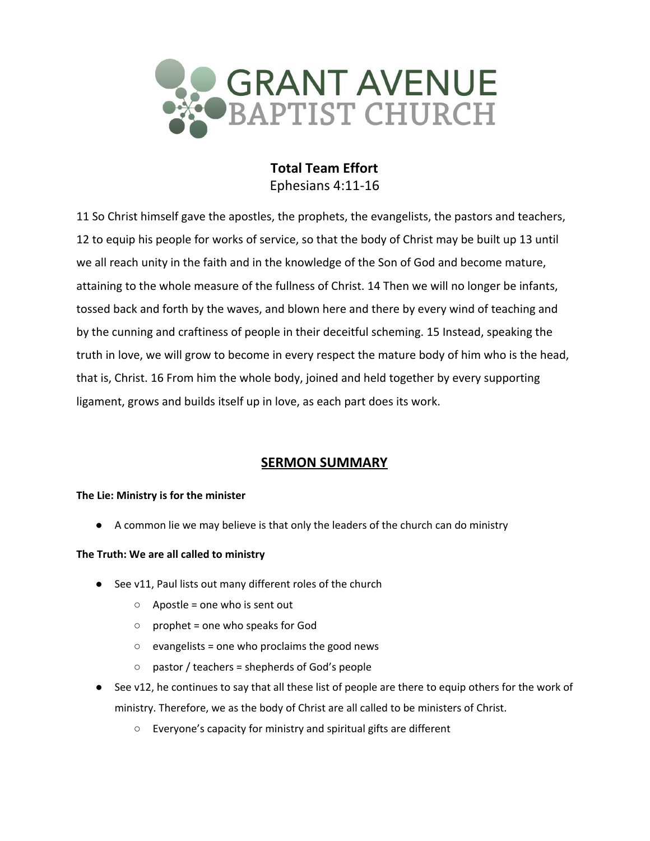

# **Total Team Effort** Ephesians 4:11-16

11 So Christ himself gave the apostles, the prophets, the evangelists, the pastors and teachers, 12 to equip his people for works of service, so that the body of Christ may be built up 13 until we all reach unity in the faith and in the knowledge of the Son of God and become mature, attaining to the whole measure of the fullness of Christ. 14 Then we will no longer be infants, tossed back and forth by the waves, and blown here and there by every wind of teaching and by the cunning and craftiness of people in their deceitful scheming. 15 Instead, speaking the truth in love, we will grow to become in every respect the mature body of him who is the head, that is, Christ. 16 From him the whole body, joined and held together by every supporting ligament, grows and builds itself up in love, as each part does its work.

# **SERMON SUMMARY**

### **The Lie: Ministry is for the minister**

● A common lie we may believe is that only the leaders of the church can do ministry

### **The Truth: We are all called to ministry**

- See v11, Paul lists out many different roles of the church
	- $\circ$  Apostle = one who is sent out
	- prophet = one who speaks for God
	- evangelists = one who proclaims the good news
	- $\circ$  pastor / teachers = shepherds of God's people
- See v12, he continues to say that all these list of people are there to equip others for the work of ministry. Therefore, we as the body of Christ are all called to be ministers of Christ.
	- Everyone's capacity for ministry and spiritual gifts are different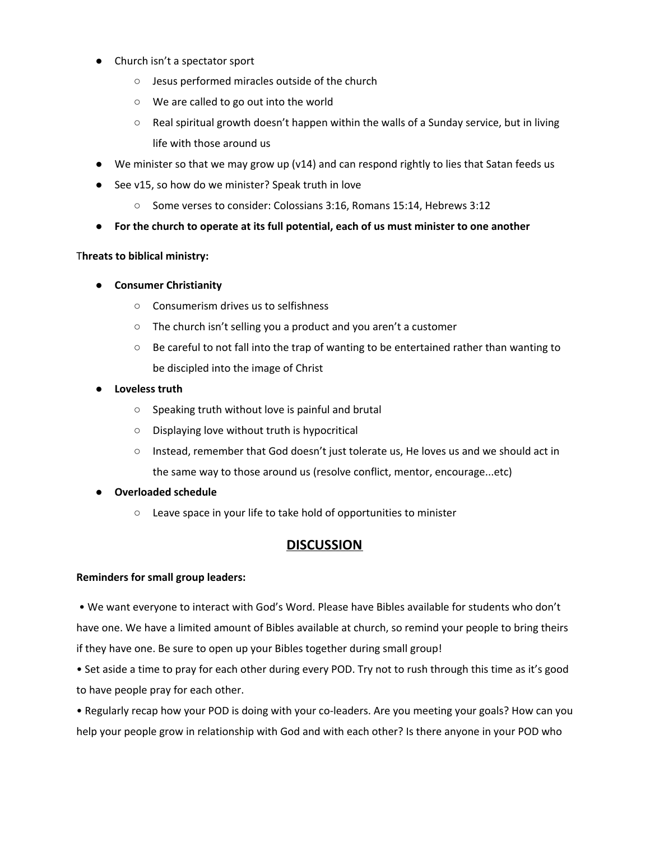- Church isn't a spectator sport
	- Jesus performed miracles outside of the church
	- We are called to go out into the world
	- Real spiritual growth doesn't happen within the walls of a Sunday service, but in living life with those around us
- $\bullet$  We minister so that we may grow up (v14) and can respond rightly to lies that Satan feeds us
- See v15, so how do we minister? Speak truth in love
	- Some verses to consider: Colossians 3:16, Romans 15:14, Hebrews 3:12
- **● For the church to operate at its full potential, each of us must minister to one another**

#### T**hreats to biblical ministry:**

- **● Consumer Christianity**
	- Consumerism drives us to selfishness
	- The church isn't selling you a product and you aren't a customer
	- Be careful to not fall into the trap of wanting to be entertained rather than wanting to be discipled into the image of Christ
- **● Loveless truth**
	- Speaking truth without love is painful and brutal
	- Displaying love without truth is hypocritical
	- Instead, remember that God doesn't just tolerate us, He loves us and we should act in the same way to those around us (resolve conflict, mentor, encourage...etc)

#### **● Overloaded schedule**

○ Leave space in your life to take hold of opportunities to minister

## **DISCUSSION**

#### **Reminders for small group leaders:**

• We want everyone to interact with God's Word. Please have Bibles available for students who don't have one. We have a limited amount of Bibles available at church, so remind your people to bring theirs if they have one. Be sure to open up your Bibles together during small group!

• Set aside a time to pray for each other during every POD. Try not to rush through this time as it's good to have people pray for each other.

• Regularly recap how your POD is doing with your co-leaders. Are you meeting your goals? How can you help your people grow in relationship with God and with each other? Is there anyone in your POD who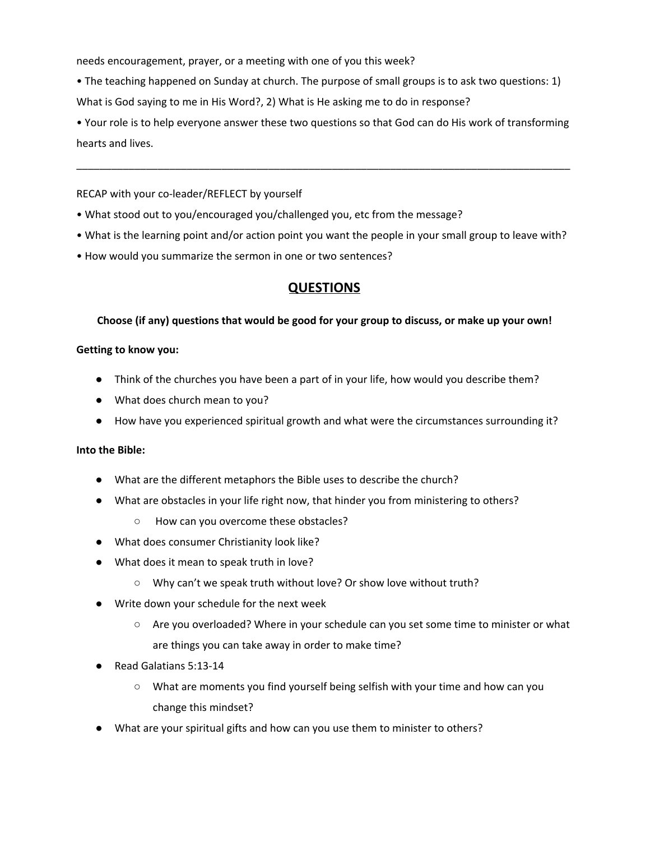needs encouragement, prayer, or a meeting with one of you this week?

• The teaching happened on Sunday at church. The purpose of small groups is to ask two questions: 1) What is God saying to me in His Word?, 2) What is He asking me to do in response?

• Your role is to help everyone answer these two questions so that God can do His work of transforming hearts and lives.

\_\_\_\_\_\_\_\_\_\_\_\_\_\_\_\_\_\_\_\_\_\_\_\_\_\_\_\_\_\_\_\_\_\_\_\_\_\_\_\_\_\_\_\_\_\_\_\_\_\_\_\_\_\_\_\_\_\_\_\_\_\_\_\_\_\_\_\_\_\_\_\_\_\_\_\_\_\_\_\_\_\_\_\_\_

RECAP with your co-leader/REFLECT by yourself

- What stood out to you/encouraged you/challenged you, etc from the message?
- What is the learning point and/or action point you want the people in your small group to leave with?
- How would you summarize the sermon in one or two sentences?

## **QUESTIONS**

#### **Choose (if any) questions that would be good for your group to discuss, or make up your own!**

#### **Getting to know you:**

- Think of the churches you have been a part of in your life, how would you describe them?
- What does church mean to you?
- How have you experienced spiritual growth and what were the circumstances surrounding it?

#### **Into the Bible:**

- What are the different metaphors the Bible uses to describe the church?
- What are obstacles in your life right now, that hinder you from ministering to others?
	- How can you overcome these obstacles?
- What does consumer Christianity look like?
- What does it mean to speak truth in love?
	- Why can't we speak truth without love? Or show love without truth?
- Write down your schedule for the next week
	- Are you overloaded? Where in your schedule can you set some time to minister or what are things you can take away in order to make time?
- Read Galatians 5:13-14
	- What are moments you find yourself being selfish with your time and how can you change this mindset?
- What are your spiritual gifts and how can you use them to minister to others?